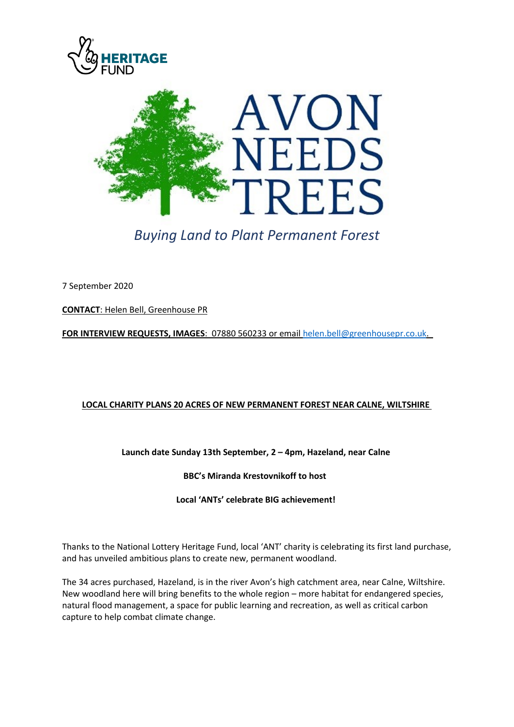



*Buying Land to Plant Permanent Forest*

7 September 2020

**CONTACT**: Helen Bell, Greenhouse PR

**FOR INTERVIEW REQUESTS, IMAGES**: 07880 560233 or emai[l helen.bell@greenhousepr.co.uk.](mailto:helen.bell@greenhousepr.co.uk)

# **LOCAL CHARITY PLANS 20 ACRES OF NEW PERMANENT FOREST NEAR CALNE, WILTSHIRE**

**Launch date Sunday 13th September, 2 – 4pm, Hazeland, near Calne**

**BBC's Miranda Krestovnikoff to host** 

**Local 'ANTs' celebrate BIG achievement!**

Thanks to the National Lottery Heritage Fund, local 'ANT' charity is celebrating its first land purchase, and has unveiled ambitious plans to create new, permanent woodland.

The 34 acres purchased, Hazeland, is in the river Avon's high catchment area, near Calne, Wiltshire. New woodland here will bring benefits to the whole region – more habitat for endangered species, natural flood management, a space for public learning and recreation, as well as critical carbon capture to help combat climate change.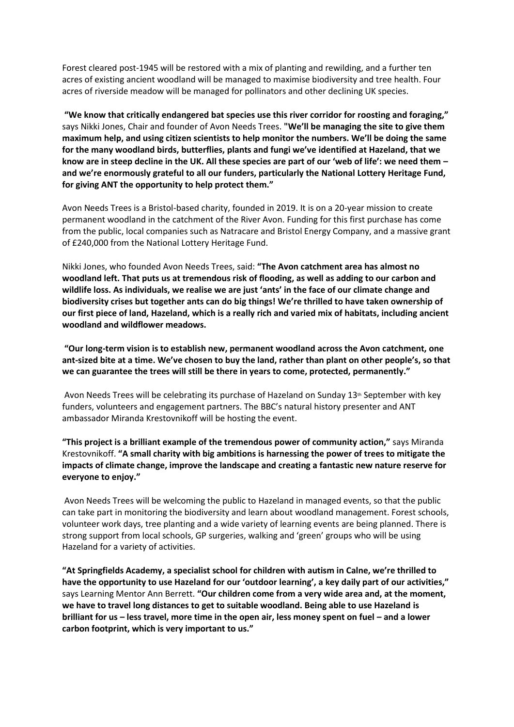Forest cleared post-1945 will be restored with a mix of planting and rewilding, and a further ten acres of existing ancient woodland will be managed to maximise biodiversity and tree health. Four acres of riverside meadow will be managed for pollinators and other declining UK species.

**"We know that critically endangered bat species use this river corridor for roosting and foraging,"** says Nikki Jones, Chair and founder of Avon Needs Trees. **"We'll be managing the site to give them maximum help, and using citizen scientists to help monitor the numbers. We'll be doing the same for the many woodland birds, butterflies, plants and fungi we've identified at Hazeland, that we know are in steep decline in the UK. All these species are part of our 'web of life': we need them – and we're enormously grateful to all our funders, particularly the National Lottery Heritage Fund, for giving ANT the opportunity to help protect them."** 

Avon Needs Trees is a Bristol-based charity, founded in 2019. It is on a 20-year mission to create permanent woodland in the catchment of the River Avon. Funding for this first purchase has come from the public, local companies such as Natracare and Bristol Energy Company, and a massive grant of £240,000 from the National Lottery Heritage Fund.

Nikki Jones, who founded Avon Needs Trees, said: **"The Avon catchment area has almost no woodland left. That puts us at tremendous risk of flooding, as well as adding to our carbon and wildlife loss. As individuals, we realise we are just 'ants' in the face of our climate change and biodiversity crises but together ants can do big things! We're thrilled to have taken ownership of our first piece of land, Hazeland, which is a really rich and varied mix of habitats, including ancient woodland and wildflower meadows.** 

**"Our long-term vision is to establish new, permanent woodland across the Avon catchment, one ant-sized bite at a time. We've chosen to buy the land, rather than plant on other people's, so that we can guarantee the trees will still be there in years to come, protected, permanently."**

Avon Needs Trees will be celebrating its purchase of Hazeland on Sunday  $13<sup>th</sup>$  September with key funders, volunteers and engagement partners. The BBC's natural history presenter and ANT ambassador Miranda Krestovnikoff will be hosting the event.

**"This project is a brilliant example of the tremendous power of community action,"** says Miranda Krestovnikoff. **"A small charity with big ambitions is harnessing the power of trees to mitigate the impacts of climate change, improve the landscape and creating a fantastic new nature reserve for everyone to enjoy."**

Avon Needs Trees will be welcoming the public to Hazeland in managed events, so that the public can take part in monitoring the biodiversity and learn about woodland management. Forest schools, volunteer work days, tree planting and a wide variety of learning events are being planned. There is strong support from local schools, GP surgeries, walking and 'green' groups who will be using Hazeland for a variety of activities.

**"At Springfields Academy, a specialist school for children with autism in Calne, we're thrilled to have the opportunity to use Hazeland for our 'outdoor learning', a key daily part of our activities,"** says Learning Mentor Ann Berrett. **"Our children come from a very wide area and, at the moment, we have to travel long distances to get to suitable woodland. Being able to use Hazeland is brilliant for us – less travel, more time in the open air, less money spent on fuel – and a lower carbon footprint, which is very important to us."**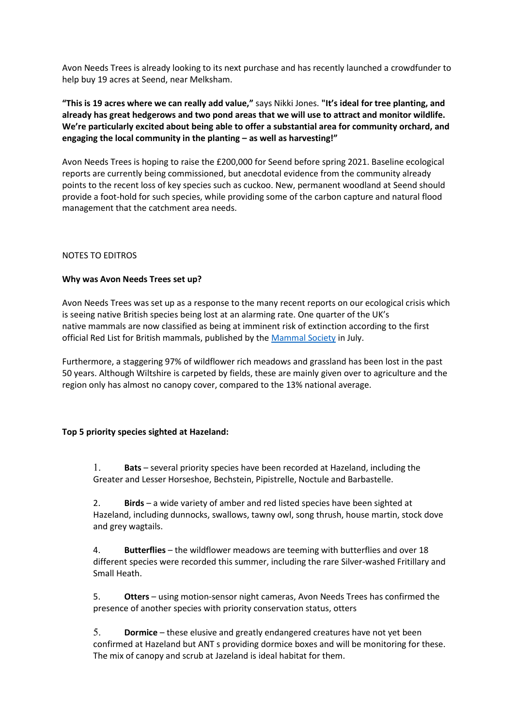Avon Needs Trees is already looking to its next purchase and has recently launched a crowdfunder to help buy 19 acres at Seend, near Melksham.

**"This is 19 acres where we can really add value,"** says Nikki Jones. **"It's ideal for tree planting, and already has great hedgerows and two pond areas that we will use to attract and monitor wildlife. We're particularly excited about being able to offer a substantial area for community orchard, and engaging the local community in the planting – as well as harvesting!"**

Avon Needs Trees is hoping to raise the £200,000 for Seend before spring 2021. Baseline ecological reports are currently being commissioned, but anecdotal evidence from the community already points to the recent loss of key species such as cuckoo. New, permanent woodland at Seend should provide a foot-hold for such species, while providing some of the carbon capture and natural flood management that the catchment area needs.

# NOTES TO EDITROS

## **Why was Avon Needs Trees set up?**

Avon Needs Trees was set up as a response to the many recent reports on our ecological crisis which is seeing native British species being lost at an alarming rate. One quarter of the UK's native mammals are now classified as being at imminent risk of extinction according to the first official Red List for British mammals, published by the [Mammal Society](https://www.mammal.org.uk/science-research/red-list/) in July.

Furthermore, a staggering 97% of wildflower rich meadows and grassland has been lost in the past 50 years. Although Wiltshire is carpeted by fields, these are mainly given over to agriculture and the region only has almost no canopy cover, compared to the 13% national average.

## **Top 5 priority species sighted at Hazeland:**

1. **Bats** – several priority species have been recorded at Hazeland, including the Greater and Lesser Horseshoe, Bechstein, Pipistrelle, Noctule and Barbastelle.

2. **Birds** – a wide variety of amber and red listed species have been sighted at Hazeland, including dunnocks, swallows, tawny owl, song thrush, house martin, stock dove and grey wagtails.

4. **Butterflies** – the wildflower meadows are teeming with butterflies and over 18 different species were recorded this summer, including the rare Silver-washed Fritillary and Small Heath.

5. **Otters** – using motion-sensor night cameras, Avon Needs Trees has confirmed the presence of another species with priority conservation status, otters

5. **Dormice** – these elusive and greatly endangered creatures have not yet been confirmed at Hazeland but ANT s providing dormice boxes and will be monitoring for these. The mix of canopy and scrub at Jazeland is ideal habitat for them.